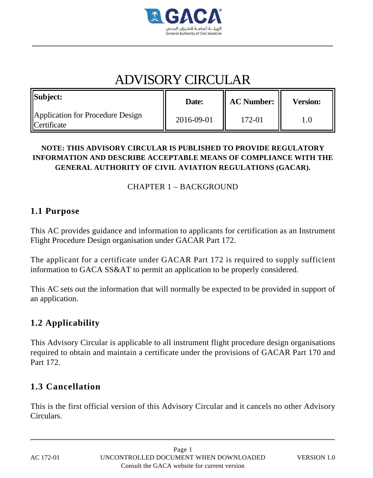

# ADVISORY CIRCULAR

| <b>Subject:</b>                                                 | Date:      | <b>AC Number:</b> | <b>Version:</b> |
|-----------------------------------------------------------------|------------|-------------------|-----------------|
| <b>Application for Procedure Design</b><br><b>I</b> Certificate | 2016-09-01 | 172-01            |                 |

#### **NOTE: THIS ADVISORY CIRCULAR IS PUBLISHED TO PROVIDE REGULATORY INFORMATION AND DESCRIBE ACCEPTABLE MEANS OF COMPLIANCE WITH THE GENERAL AUTHORITY OF CIVIL AVIATION REGULATIONS (GACAR).**

#### CHAPTER 1 – BACKGROUND

#### **1.1 Purpose**

This AC provides guidance and information to applicants for certification as an Instrument Flight Procedure Design organisation under GACAR Part 172.

The applicant for a certificate under GACAR Part 172 is required to supply sufficient information to GACA SS&AT to permit an application to be properly considered.

This AC sets out the information that will normally be expected to be provided in support of an application.

# **1.2 Applicability**

This Advisory Circular is applicable to all instrument flight procedure design organisations required to obtain and maintain a certificate under the provisions of GACAR Part 170 and Part 172.

# **1.3 Cancellation**

This is the first official version of this Advisory Circular and it cancels no other Advisory Circulars.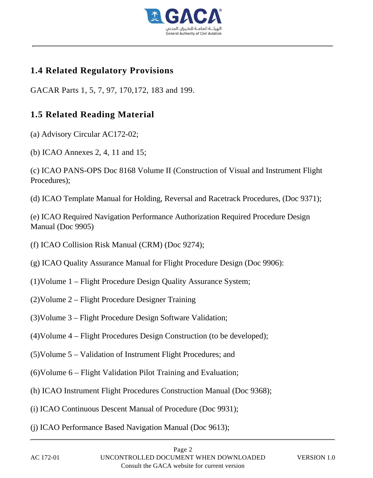

## **1.4 Related Regulatory Provisions**

GACAR Parts 1, 5, 7, 97, 170,172, 183 and 199.

# **1.5 Related Reading Material**

(a) Advisory Circular AC172-02;

- (b) ICAO Annexes 2, 4, 11 and 15;
- (c) ICAO PANS-OPS Doc 8168 Volume II (Construction of Visual and Instrument Flight Procedures);
- (d) ICAO Template Manual for Holding, Reversal and Racetrack Procedures, (Doc 9371);

(e) ICAO Required Navigation Performance Authorization Required Procedure Design Manual (Doc 9905)

- (f) ICAO Collision Risk Manual (CRM) (Doc 9274);
- (g) ICAO Quality Assurance Manual for Flight Procedure Design (Doc 9906):
- (1)Volume 1 Flight Procedure Design Quality Assurance System;
- (2)Volume 2 Flight Procedure Designer Training
- (3)Volume 3 Flight Procedure Design Software Validation;
- (4)Volume 4 Flight Procedures Design Construction (to be developed);
- (5)Volume 5 Validation of Instrument Flight Procedures; and
- (6)Volume 6 Flight Validation Pilot Training and Evaluation;
- (h) ICAO Instrument Flight Procedures Construction Manual (Doc 9368);
- (i) ICAO Continuous Descent Manual of Procedure (Doc 9931);
- (j) ICAO Performance Based Navigation Manual (Doc 9613);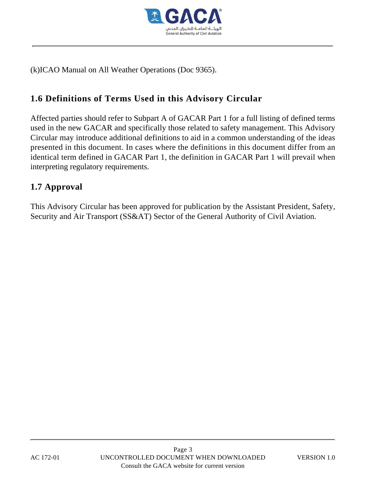

(k)ICAO Manual on All Weather Operations (Doc 9365).

# **1.6 Definitions of Terms Used in this Advisory Circular**

Affected parties should refer to Subpart A of GACAR Part 1 for a full listing of defined terms used in the new GACAR and specifically those related to safety management. This Advisory Circular may introduce additional definitions to aid in a common understanding of the ideas presented in this document. In cases where the definitions in this document differ from an identical term defined in GACAR Part 1, the definition in GACAR Part 1 will prevail when interpreting regulatory requirements.

## **1.7 Approval**

This Advisory Circular has been approved for publication by the Assistant President, Safety, Security and Air Transport (SS&AT) Sector of the General Authority of Civil Aviation.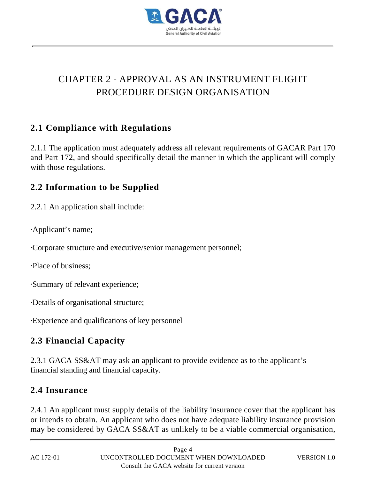

# CHAPTER 2 - APPROVAL AS AN INSTRUMENT FLIGHT PROCEDURE DESIGN ORGANISATION

## **2.1 Compliance with Regulations**

2.1.1 The application must adequately address all relevant requirements of GACAR Part 170 and Part 172, and should specifically detail the manner in which the applicant will comply with those regulations.

## **2.2 Information to be Supplied**

2.2.1 An application shall include:

·Applicant's name;

·Corporate structure and executive/senior management personnel;

·Place of business;

·Summary of relevant experience;

·Details of organisational structure;

·Experience and qualifications of key personnel

# **2.3 Financial Capacity**

2.3.1 GACA SS&AT may ask an applicant to provide evidence as to the applicant's financial standing and financial capacity.

### **2.4 Insurance**

2.4.1 An applicant must supply details of the liability insurance cover that the applicant has or intends to obtain. An applicant who does not have adequate liability insurance provision may be considered by GACA SS&AT as unlikely to be a viable commercial organisation,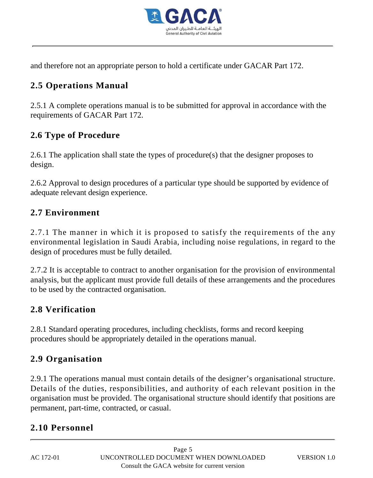

and therefore not an appropriate person to hold a certificate under GACAR Part 172.

# **2.5 Operations Manual**

2.5.1 A complete operations manual is to be submitted for approval in accordance with the requirements of GACAR Part 172.

# **2.6 Type of Procedure**

2.6.1 The application shall state the types of procedure(s) that the designer proposes to design.

2.6.2 Approval to design procedures of a particular type should be supported by evidence of adequate relevant design experience.

# **2.7 Environment**

2.7.1 The manner in which it is proposed to satisfy the requirements of the any environmental legislation in Saudi Arabia, including noise regulations, in regard to the design of procedures must be fully detailed.

2.7.2 It is acceptable to contract to another organisation for the provision of environmental analysis, but the applicant must provide full details of these arrangements and the procedures to be used by the contracted organisation.

# **2.8 Verification**

2.8.1 Standard operating procedures, including checklists, forms and record keeping procedures should be appropriately detailed in the operations manual.

# **2.9 Organisation**

2.9.1 The operations manual must contain details of the designer's organisational structure. Details of the duties, responsibilities, and authority of each relevant position in the organisation must be provided. The organisational structure should identify that positions are permanent, part-time, contracted, or casual.

# **2.10 Personnel**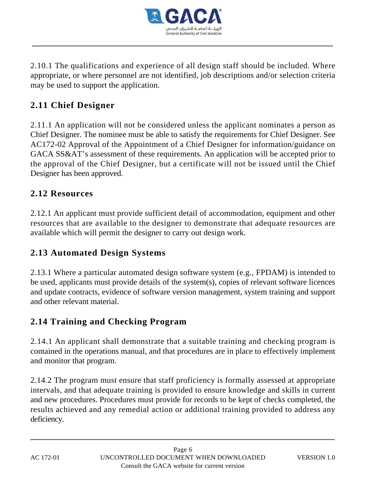

2.10.1 The qualifications and experience of all design staff should be included. Where appropriate, or where personnel are not identified, job descriptions and/or selection criteria may be used to support the application.

# **2.11 Chief Designer**

2.11.1 An application will not be considered unless the applicant nominates a person as Chief Designer. The nominee must be able to satisfy the requirements for Chief Designer. See AC172-02 Approval of the Appointment of a Chief Designer for information/guidance on GACA SS&AT's assessment of these requirements. An application will be accepted prior to the approval of the Chief Designer, but a certificate will not be issued until the Chief Designer has been approved.

### **2.12 Resources**

2.12.1 An applicant must provide sufficient detail of accommodation, equipment and other resources that are available to the designer to demonstrate that adequate resources are available which will permit the designer to carry out design work.

# **2.13 Automated Design Systems**

2.13.1 Where a particular automated design software system (e.g., FPDAM) is intended to be used, applicants must provide details of the system(s), copies of relevant software licences and update contracts, evidence of software version management, system training and support and other relevant material.

# **2.14 Training and Checking Program**

2.14.1 An applicant shall demonstrate that a suitable training and checking program is contained in the operations manual, and that procedures are in place to effectively implement and monitor that program.

2.14.2 The program must ensure that staff proficiency is formally assessed at appropriate intervals, and that adequate training is provided to ensure knowledge and skills in current and new procedures. Procedures must provide for records to be kept of checks completed, the results achieved and any remedial action or additional training provided to address any deficiency.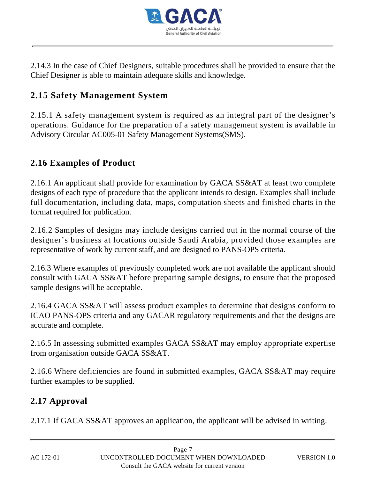

2.14.3 In the case of Chief Designers, suitable procedures shall be provided to ensure that the Chief Designer is able to maintain adequate skills and knowledge.

# **2.15 Safety Management System**

2.15.1 A safety management system is required as an integral part of the designer's operations. Guidance for the preparation of a safety management system is available in Advisory Circular AC005-01 Safety Management Systems(SMS).

# **2.16 Examples of Product**

2.16.1 An applicant shall provide for examination by GACA SS&AT at least two complete designs of each type of procedure that the applicant intends to design. Examples shall include full documentation, including data, maps, computation sheets and finished charts in the format required for publication.

2.16.2 Samples of designs may include designs carried out in the normal course of the designer's business at locations outside Saudi Arabia, provided those examples are representative of work by current staff, and are designed to PANS-OPS criteria.

2.16.3 Where examples of previously completed work are not available the applicant should consult with GACA SS&AT before preparing sample designs, to ensure that the proposed sample designs will be acceptable.

2.16.4 GACA SS&AT will assess product examples to determine that designs conform to ICAO PANS-OPS criteria and any GACAR regulatory requirements and that the designs are accurate and complete.

2.16.5 In assessing submitted examples GACA SS&AT may employ appropriate expertise from organisation outside GACA SS&AT.

2.16.6 Where deficiencies are found in submitted examples, GACA SS&AT may require further examples to be supplied.

### **2.17 Approval**

2.17.1 If GACA SS&AT approves an application, the applicant will be advised in writing.